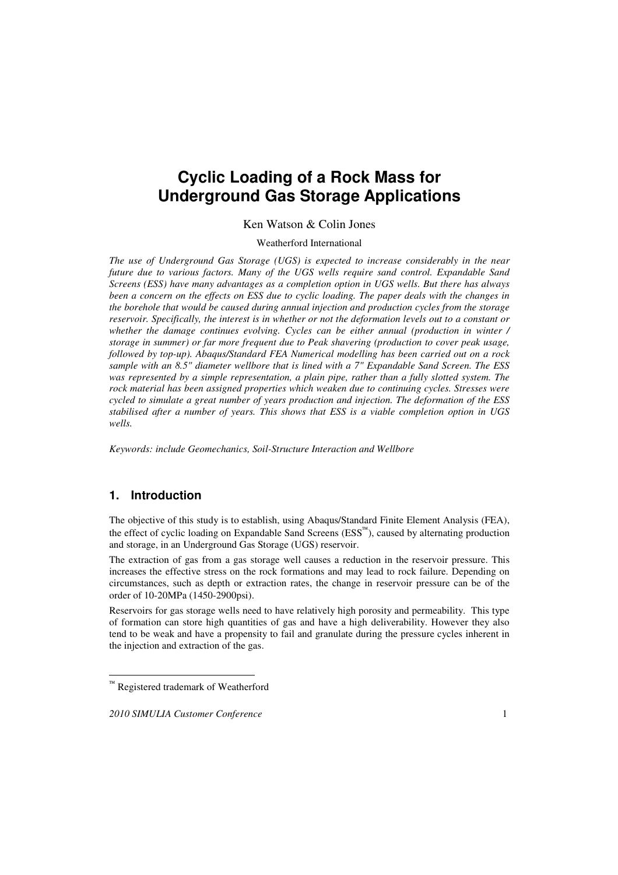# **Cyclic Loading of a Rock Mass for Underground Gas Storage Applications**

#### Ken Watson & Colin Jones

Weatherford International

*The use of Underground Gas Storage (UGS) is expected to increase considerably in the near future due to various factors. Many of the UGS wells require sand control. Expandable Sand Screens (ESS) have many advantages as a completion option in UGS wells. But there has always been a concern on the effects on ESS due to cyclic loading. The paper deals with the changes in the borehole that would be caused during annual injection and production cycles from the storage reservoir. Specifically, the interest is in whether or not the deformation levels out to a constant or whether the damage continues evolving. Cycles can be either annual (production in winter / storage in summer) or far more frequent due to Peak shavering (production to cover peak usage, followed by top-up). Abaqus/Standard FEA Numerical modelling has been carried out on a rock sample with an 8.5" diameter wellbore that is lined with a 7" Expandable Sand Screen. The ESS was represented by a simple representation, a plain pipe, rather than a fully slotted system. The rock material has been assigned properties which weaken due to continuing cycles. Stresses were cycled to simulate a great number of years production and injection. The deformation of the ESS stabilised after a number of years. This shows that ESS is a viable completion option in UGS wells.* 

*Keywords: include Geomechanics, Soil-Structure Interaction and Wellbore* 

## **1. Introduction**

 $\overline{a}$ 

The objective of this study is to establish, using Abaqus/Standard Finite Element Analysis (FEA), the effect of cyclic loading on Expandable Sand Screens (ESS<sup>™</sup>), caused by alternating production and storage, in an Underground Gas Storage (UGS) reservoir.

The extraction of gas from a gas storage well causes a reduction in the reservoir pressure. This increases the effective stress on the rock formations and may lead to rock failure. Depending on circumstances, such as depth or extraction rates, the change in reservoir pressure can be of the order of 10-20MPa (1450-2900psi).

Reservoirs for gas storage wells need to have relatively high porosity and permeability. This type of formation can store high quantities of gas and have a high deliverability. However they also tend to be weak and have a propensity to fail and granulate during the pressure cycles inherent in the injection and extraction of the gas.

<sup>&</sup>lt;sup>™</sup> Registered trademark of Weatherford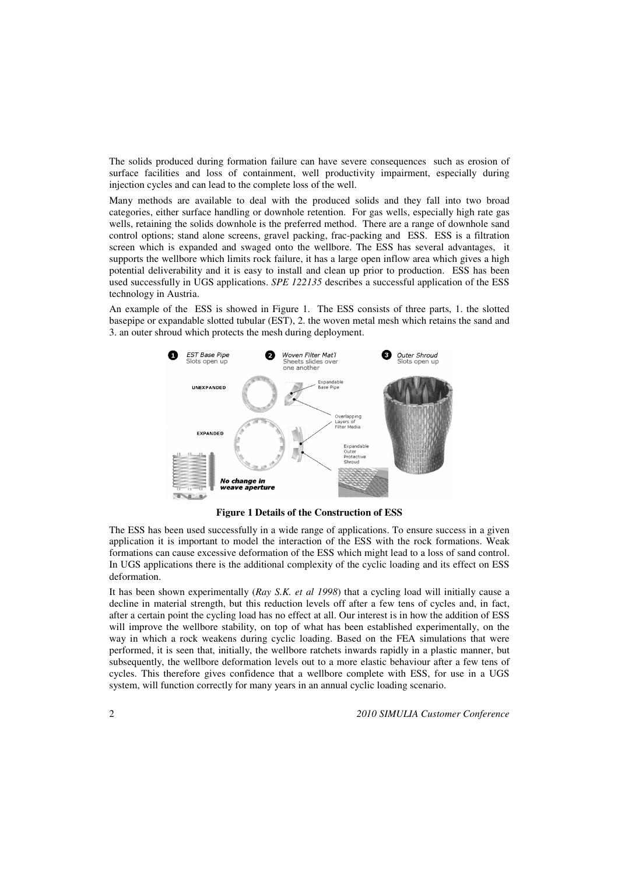The solids produced during formation failure can have severe consequences such as erosion of surface facilities and loss of containment, well productivity impairment, especially during injection cycles and can lead to the complete loss of the well.

Many methods are available to deal with the produced solids and they fall into two broad categories, either surface handling or downhole retention. For gas wells, especially high rate gas wells, retaining the solids downhole is the preferred method. There are a range of downhole sand control options; stand alone screens, gravel packing, frac-packing and ESS. ESS is a filtration screen which is expanded and swaged onto the wellbore. The ESS has several advantages, it supports the wellbore which limits rock failure, it has a large open inflow area which gives a high potential deliverability and it is easy to install and clean up prior to production. ESS has been used successfully in UGS applications. *SPE 122135* describes a successful application of the ESS technology in Austria.

An example of the ESS is showed in Figure 1. The ESS consists of three parts, 1. the slotted basepipe or expandable slotted tubular (EST), 2. the woven metal mesh which retains the sand and 3. an outer shroud which protects the mesh during deployment.



**Figure 1 Details of the Construction of ESS** 

The ESS has been used successfully in a wide range of applications. To ensure success in a given application it is important to model the interaction of the ESS with the rock formations. Weak formations can cause excessive deformation of the ESS which might lead to a loss of sand control. In UGS applications there is the additional complexity of the cyclic loading and its effect on ESS deformation.

It has been shown experimentally (*Ray S.K. et al 1998*) that a cycling load will initially cause a decline in material strength, but this reduction levels off after a few tens of cycles and, in fact, after a certain point the cycling load has no effect at all. Our interest is in how the addition of ESS will improve the wellbore stability, on top of what has been established experimentally, on the way in which a rock weakens during cyclic loading. Based on the FEA simulations that were performed, it is seen that, initially, the wellbore ratchets inwards rapidly in a plastic manner, but subsequently, the wellbore deformation levels out to a more elastic behaviour after a few tens of cycles. This therefore gives confidence that a wellbore complete with ESS, for use in a UGS system, will function correctly for many years in an annual cyclic loading scenario.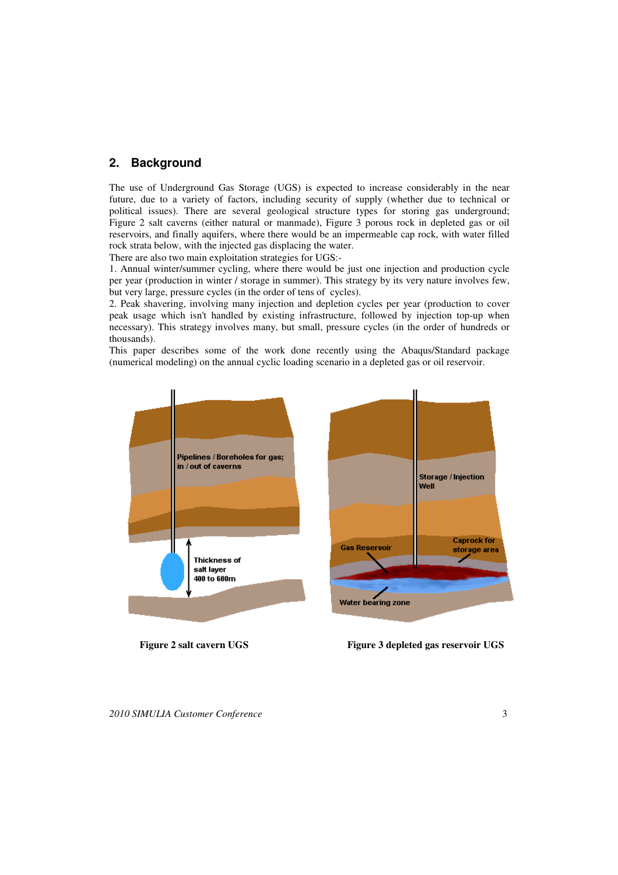## **2. Background**

The use of Underground Gas Storage (UGS) is expected to increase considerably in the near future, due to a variety of factors, including security of supply (whether due to technical or political issues). There are several geological structure types for storing gas underground; Figure 2 salt caverns (either natural or manmade), Figure 3 porous rock in depleted gas or oil reservoirs, and finally aquifers, where there would be an impermeable cap rock, with water filled rock strata below, with the injected gas displacing the water.

There are also two main exploitation strategies for UGS:-

1. Annual winter/summer cycling, where there would be just one injection and production cycle per year (production in winter / storage in summer). This strategy by its very nature involves few, but very large, pressure cycles (in the order of tens of cycles).

2. Peak shavering, involving many injection and depletion cycles per year (production to cover peak usage which isn't handled by existing infrastructure, followed by injection top-up when necessary). This strategy involves many, but small, pressure cycles (in the order of hundreds or thousands).

This paper describes some of the work done recently using the Abaqus/Standard package (numerical modeling) on the annual cyclic loading scenario in a depleted gas or oil reservoir.



 **Figure 2 salt cavern UGS Figure 3 depleted gas reservoir UGS** 

*2010 SIMULIA Customer Conference* 3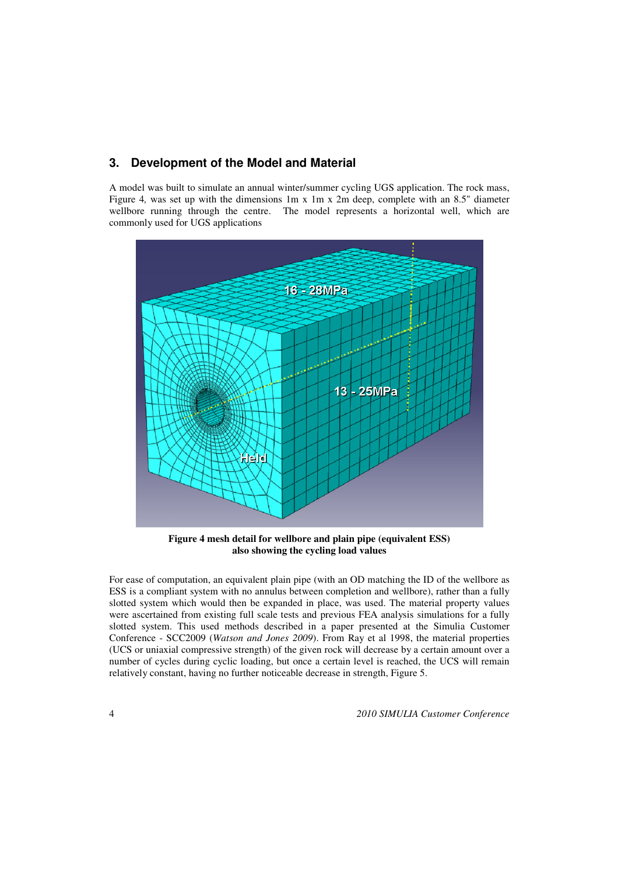### **3. Development of the Model and Material**

A model was built to simulate an annual winter/summer cycling UGS application. The rock mass, Figure 4, was set up with the dimensions 1m x 1m x 2m deep, complete with an 8.5" diameter wellbore running through the centre. The model represents a horizontal well, which are commonly used for UGS applications



**Figure 4 mesh detail for wellbore and plain pipe (equivalent ESS) also showing the cycling load values**

For ease of computation, an equivalent plain pipe (with an OD matching the ID of the wellbore as ESS is a compliant system with no annulus between completion and wellbore), rather than a fully slotted system which would then be expanded in place, was used. The material property values were ascertained from existing full scale tests and previous FEA analysis simulations for a fully slotted system. This used methods described in a paper presented at the Simulia Customer Conference - SCC2009 (*Watson and Jones 2009*). From Ray et al 1998, the material properties (UCS or uniaxial compressive strength) of the given rock will decrease by a certain amount over a number of cycles during cyclic loading, but once a certain level is reached, the UCS will remain relatively constant, having no further noticeable decrease in strength, Figure 5.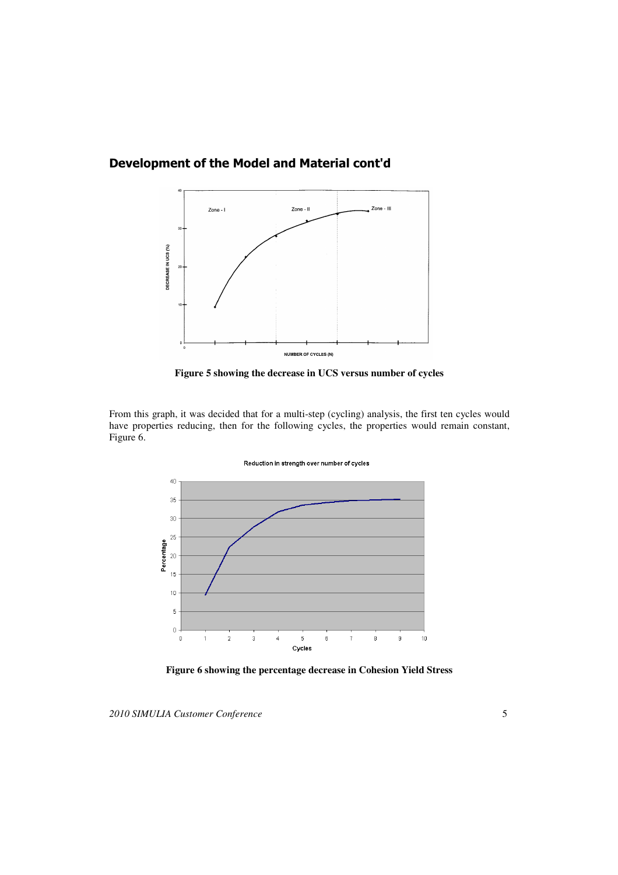

## Development of the Model and Material cont'd



From this graph, it was decided that for a multi-step (cycling) analysis, the first ten cycles would have properties reducing, then for the following cycles, the properties would remain constant, Figure 6.



**Figure 6 showing the percentage decrease in Cohesion Yield Stress**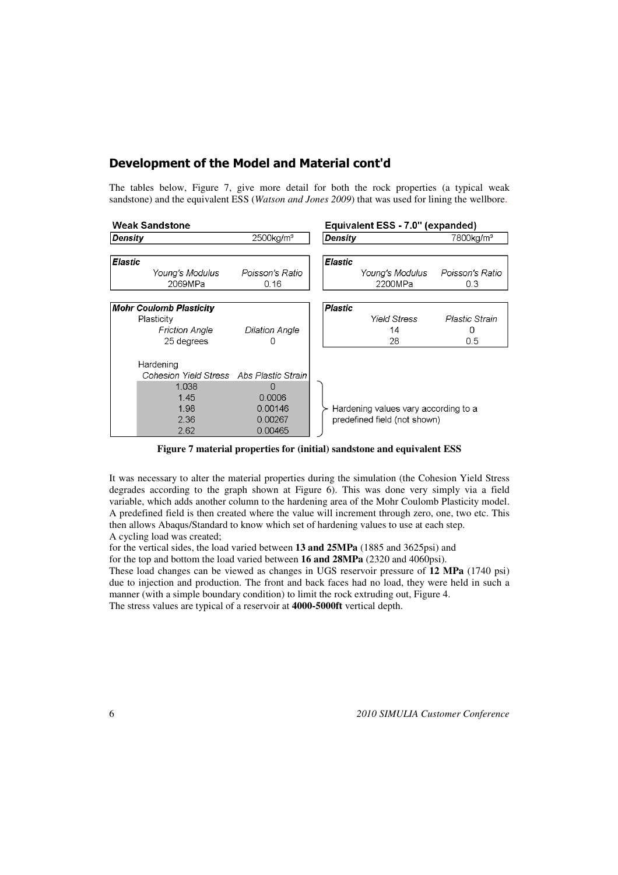## Development of the Model and Material cont'd

The tables below, Figure 7, give more detail for both the rock properties (a typical weak sandstone) and the equivalent ESS (*Watson and Jones 2009*) that was used for lining the wellbore.

| <b>Weak Sandstone</b> |                                          |                          | Equivalent ESS - 7.0" (expanded) |                                      |                       |  |
|-----------------------|------------------------------------------|--------------------------|----------------------------------|--------------------------------------|-----------------------|--|
| Density               |                                          | $2500$ kg/m <sup>3</sup> | Density                          |                                      | 7800kg/m <sup>3</sup> |  |
|                       |                                          |                          |                                  |                                      |                       |  |
| <b>Elastic</b>        |                                          |                          | <b>Elastic</b>                   |                                      |                       |  |
|                       | Youna's Modulus                          | Poisson's Ratio          |                                  | Young's Modulus                      | Poisson's Ratio       |  |
|                       | 2069MPa                                  | 0.16                     |                                  | 2200MPa                              | 0.3                   |  |
|                       |                                          |                          |                                  |                                      |                       |  |
|                       | <b>Mohr Coulomb Plasticity</b>           |                          | <b>Plastic</b>                   |                                      |                       |  |
|                       | Plasticity                               |                          |                                  | <b>Yield Stress</b>                  | Plastic Strain        |  |
|                       | <b>Friction Angle</b>                    | Dilation Angle           |                                  | 14                                   | Ω                     |  |
|                       | 25 degrees                               |                          |                                  | 28                                   | 0.5                   |  |
|                       | Hardening                                |                          |                                  |                                      |                       |  |
|                       | Cohesion Yield Stress Abs Plastic Strain |                          |                                  |                                      |                       |  |
|                       | 1.038                                    |                          |                                  |                                      |                       |  |
|                       | 1.45                                     | 0.0006                   |                                  |                                      |                       |  |
|                       | 1.98<br>0.00146                          |                          |                                  | Hardening values vary according to a |                       |  |
|                       | 2.36<br>0.00267                          |                          |                                  | predefined field (not shown)         |                       |  |
|                       | 2.62                                     | 0.00465                  |                                  |                                      |                       |  |

**Figure 7 material properties for (initial) sandstone and equivalent ESS**

It was necessary to alter the material properties during the simulation (the Cohesion Yield Stress degrades according to the graph shown at Figure 6). This was done very simply via a field variable, which adds another column to the hardening area of the Mohr Coulomb Plasticity model. A predefined field is then created where the value will increment through zero, one, two etc. This then allows Abaqus/Standard to know which set of hardening values to use at each step. A cycling load was created;

for the vertical sides, the load varied between **13 and 25MPa** (1885 and 3625psi) and

for the top and bottom the load varied between **16 and 28MPa** (2320 and 4060psi).

These load changes can be viewed as changes in UGS reservoir pressure of **12 MPa** (1740 psi) due to injection and production. The front and back faces had no load, they were held in such a manner (with a simple boundary condition) to limit the rock extruding out, Figure 4. The stress values are typical of a reservoir at **4000-5000ft** vertical depth.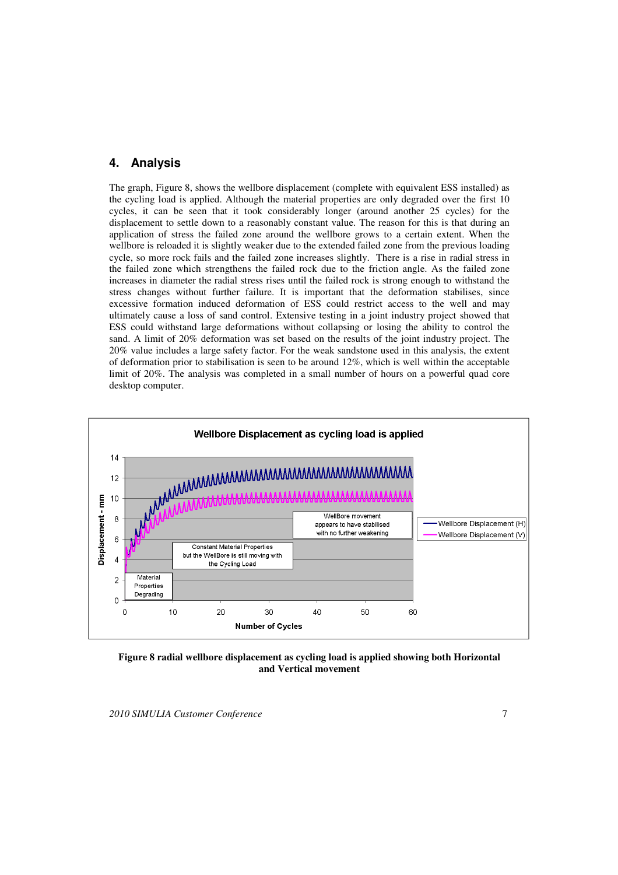#### **4. Analysis**

The graph, Figure 8, shows the wellbore displacement (complete with equivalent ESS installed) as the cycling load is applied. Although the material properties are only degraded over the first 10 cycles, it can be seen that it took considerably longer (around another 25 cycles) for the displacement to settle down to a reasonably constant value. The reason for this is that during an application of stress the failed zone around the wellbore grows to a certain extent. When the wellbore is reloaded it is slightly weaker due to the extended failed zone from the previous loading cycle, so more rock fails and the failed zone increases slightly. There is a rise in radial stress in the failed zone which strengthens the failed rock due to the friction angle. As the failed zone increases in diameter the radial stress rises until the failed rock is strong enough to withstand the stress changes without further failure. It is important that the deformation stabilises, since excessive formation induced deformation of ESS could restrict access to the well and may ultimately cause a loss of sand control. Extensive testing in a joint industry project showed that ESS could withstand large deformations without collapsing or losing the ability to control the sand. A limit of 20% deformation was set based on the results of the joint industry project. The 20% value includes a large safety factor. For the weak sandstone used in this analysis, the extent of deformation prior to stabilisation is seen to be around 12%, which is well within the acceptable limit of 20%. The analysis was completed in a small number of hours on a powerful quad core desktop computer.



**Figure 8 radial wellbore displacement as cycling load is applied showing both Horizontal and Vertical movement**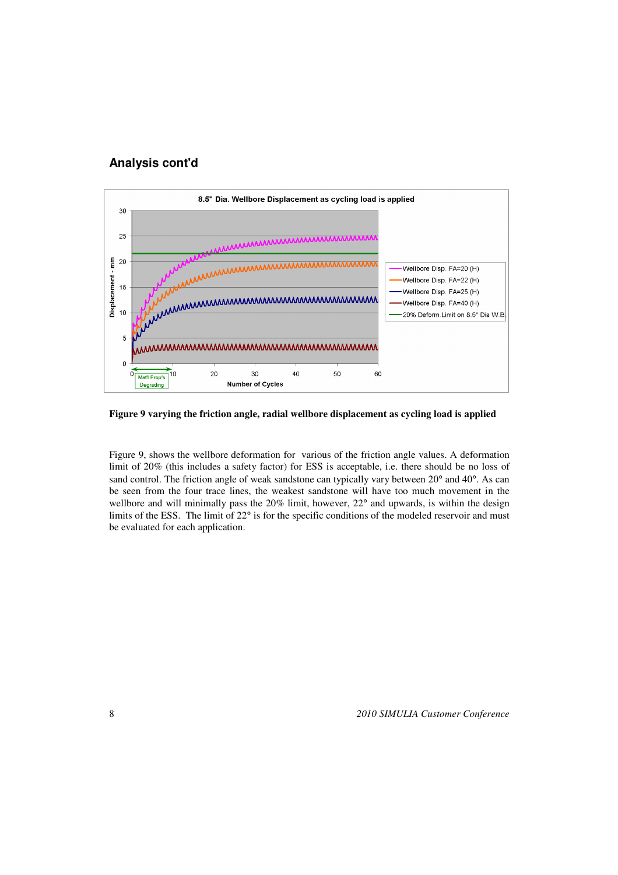### **Analysis cont'd**



**Figure 9 varying the friction angle, radial wellbore displacement as cycling load is applied**

Figure 9, shows the wellbore deformation for various of the friction angle values. A deformation limit of 20% (this includes a safety factor) for ESS is acceptable, i.e. there should be no loss of sand control. The friction angle of weak sandstone can typically vary between 20<sup>°</sup> and 40<sup>°</sup>. As can be seen from the four trace lines, the weakest sandstone will have too much movement in the wellbore and will minimally pass the 20% limit, however, 22° and upwards, is within the design limits of the ESS. The limit of 22° is for the specific conditions of the modeled reservoir and must be evaluated for each application.